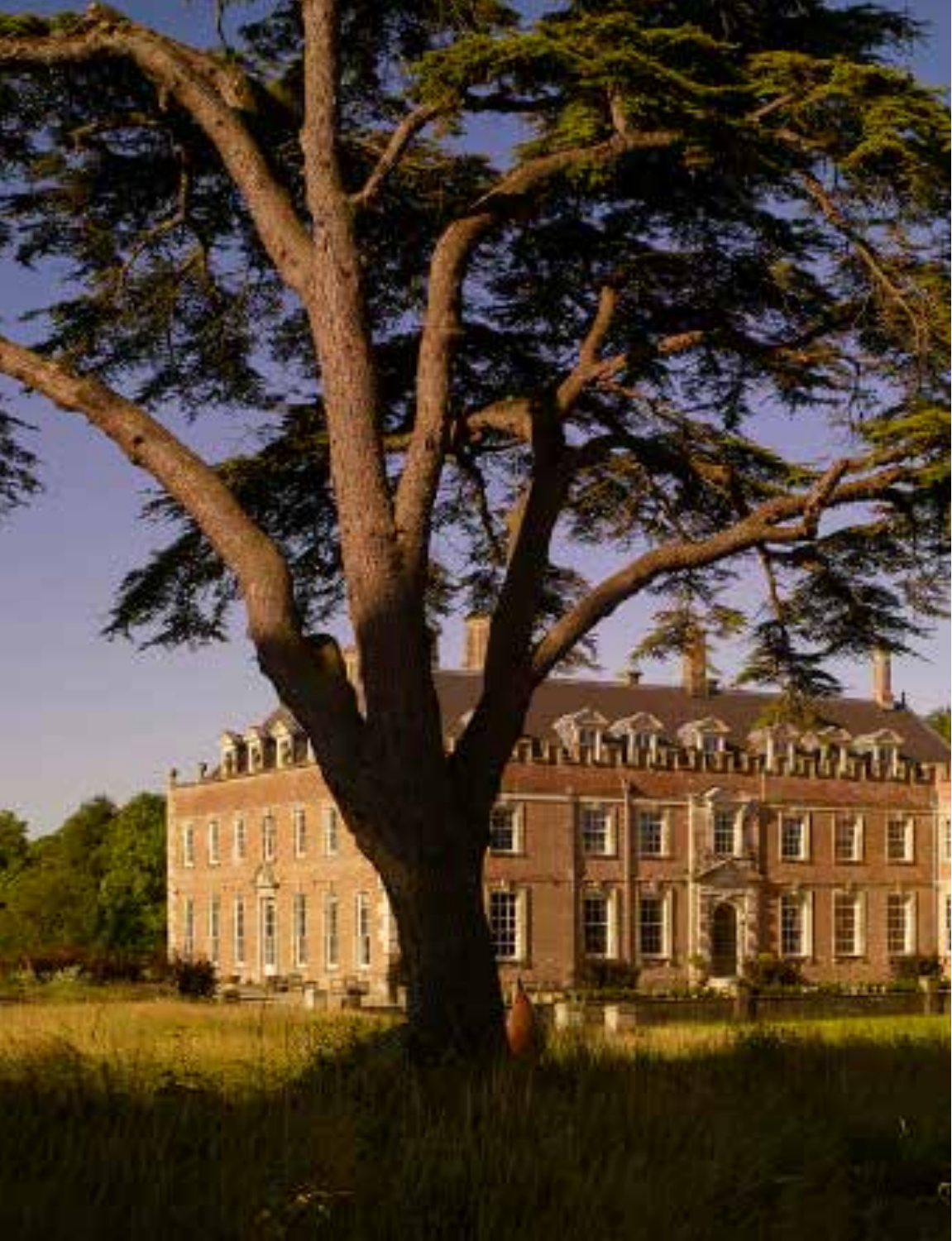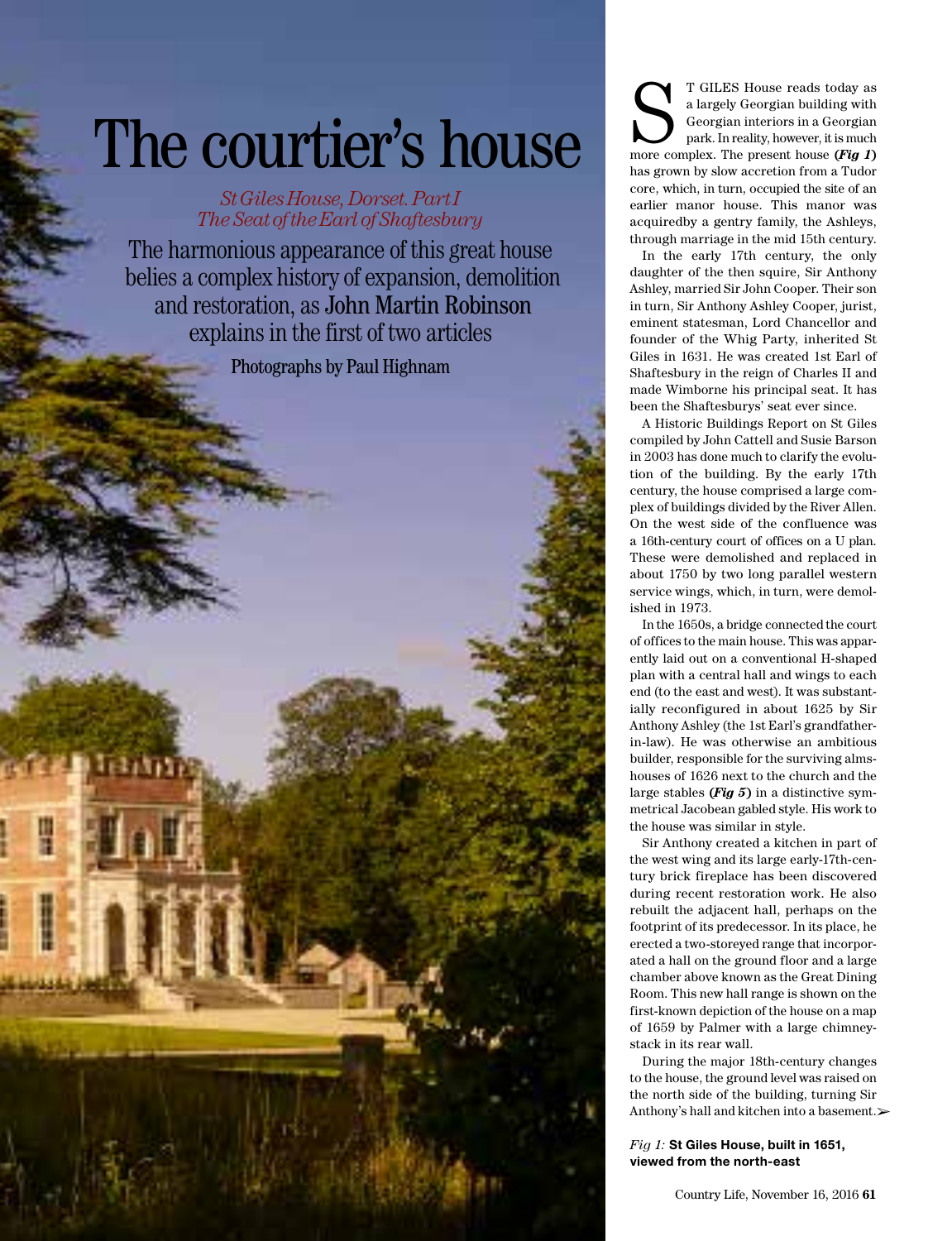## The courtier's house

*St Giles House, Dorset. Part I The Seat of the Earl of Shaftesbury*

The harmonious appearance of this great house belies a complex history of expansion, demolition and restoration, as John Martin Robinson explains in the first of two articles

Photographs by Paul Highnam

T GILES House reads today as<br>a largely Georgian building with<br>Georgian interiors in a Georgian<br>park. In reality, however, it is much<br>more complex. The present house **(Fig 1)** a largely Georgian building with Georgian interiors in a Georgian park. In reality, however, it is much has grown by slow accretion from a Tudor core, which, in turn, occupied the site of an earlier manor house. This manor was acquiredby a gentry family, the Ashleys, through marriage in the mid 15th century.

In the early 17th century, the only daughter of the then squire, Sir Anthony Ashley, married Sir John Cooper. Their son in turn, Sir Anthony Ashley Cooper, jurist, eminent statesman, Lord Chancellor and founder of the Whig Party, inherited St Giles in 1631. He was created 1st Earl of Shaftesbury in the reign of Charles II and made Wimborne his principal seat. It has been the Shaftesburys' seat ever since.

A Historic Buildings Report on St Giles compiled by John Cattell and Susie Barson in 2003 has done much to clarify the evolution of the building. By the early 17th century, the house comprised a large complex of buildings divided by the River Allen. On the west side of the confluence was a 16th-century court of offices on a U plan. These were demolished and replaced in about 1750 by two long parallel western service wings, which, in turn, were demolished in 1973.

In the 1650s, a bridge connected the court of offices to the main house. This was apparently laid out on a conventional H-shaped plan with a central hall and wings to each end (to the east and west). It was substantially reconfigured in about 1625 by Sir Anthony Ashley (the 1st Earl's grandfatherin-law). He was otherwise an ambitious builder, responsible for the surviving almshouses of 1626 next to the church and the large stables **(***Fig 5***)** in a distinctive symmetrical Jacobean gabled style. His work to the house was similar in style.

Sir Anthony created a kitchen in part of the west wing and its large early-17th-century brick fireplace has been discovered during recent restoration work. He also rebuilt the adjacent hall, perhaps on the footprint of its predecessor. In its place, he erected a two-storeyed range that incorporated a hall on the ground floor and a large chamber above known as the Great Dining Room. This new hall range is shown on the first-known depiction of the house on a map of 1659 by Palmer with a large chimneystack in its rear wall.

➢ Anthony's hall and kitchen into a basement. During the major 18th-century changes to the house, the ground level was raised on the north side of the building, turning Sir

*Fig 1:* **St Giles House, built in 1651, viewed from the north-east**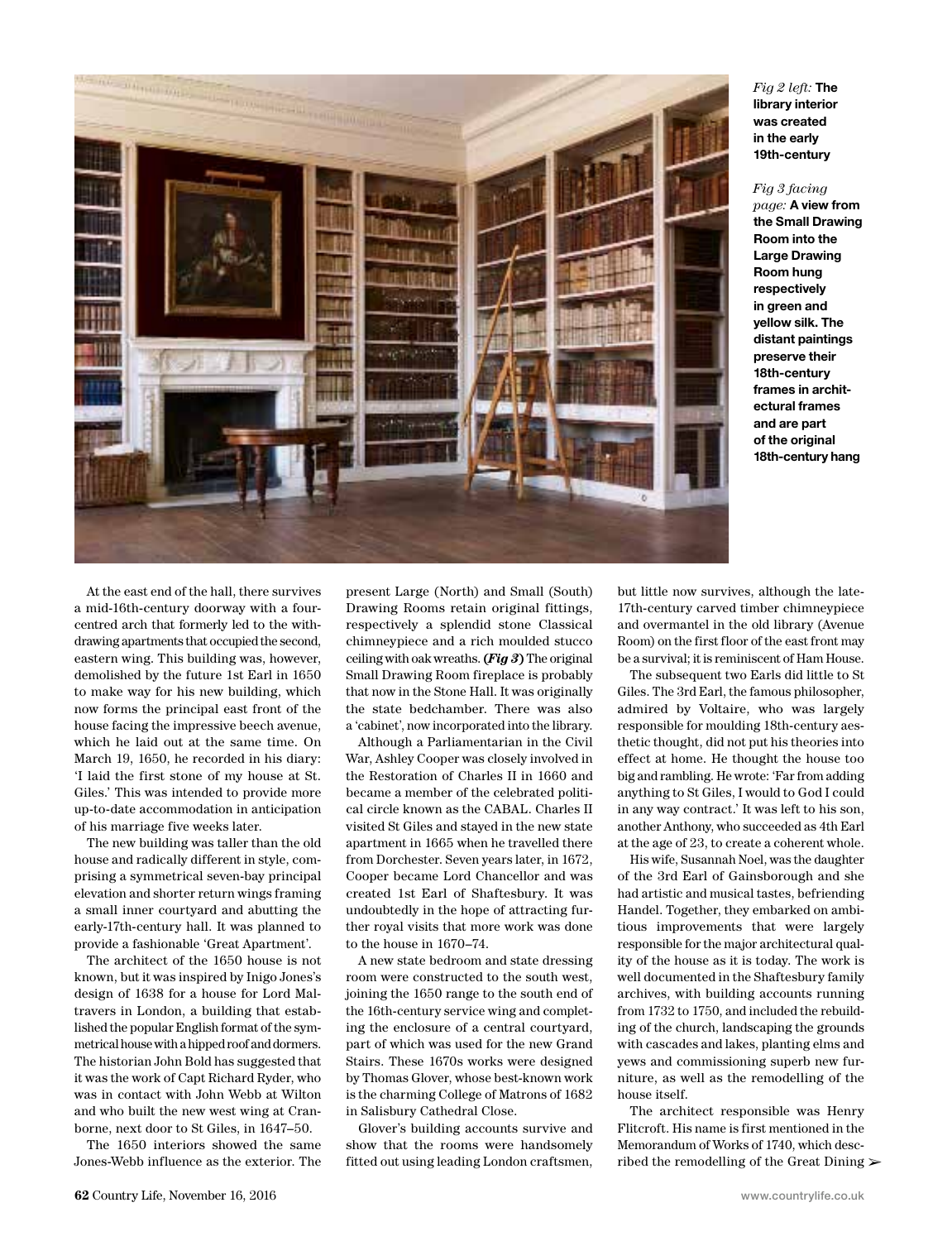

*Fig 2 left:* **The library interior was created in the early 19th-century**

## *Fig 3 facing*

*page:* **A view from the Small Drawing Room into the Large Drawing Room hung respectively in green and yellow silk. The distant paintings preserve their 18th-century frames in architectural frames and are part of the original 18th-century hang** 

At the east end of the hall, there survives a mid-16th-century doorway with a fourcentred arch that formerly led to the withdrawing apartments that occupied the second, eastern wing. This building was, however, demolished by the future 1st Earl in 1650 to make way for his new building, which now forms the principal east front of the house facing the impressive beech avenue, which he laid out at the same time. On March 19, 1650, he recorded in his diary: 'I laid the first stone of my house at St. Giles.' This was intended to provide more up-to-date accommodation in anticipation of his marriage five weeks later.

The new building was taller than the old house and radically different in style, comprising a symmetrical seven-bay principal elevation and shorter return wings framing a small inner courtyard and abutting the early-17th-century hall. It was planned to provide a fashionable 'Great Apartment'.

The architect of the 1650 house is not known, but it was inspired by Inigo Jones's design of 1638 for a house for Lord Maltravers in London, a building that established the popular English format of the symmetrical house with a hipped roof and dormers. The historian John Bold has suggested that it was the work of Capt Richard Ryder, who was in contact with John Webb at Wilton and who built the new west wing at Cranborne, next door to St Giles, in 1647–50.

The 1650 interiors showed the same Jones-Webb influence as the exterior. The present Large (North) and Small (South) Drawing Rooms retain original fittings, respectively a splendid stone Classical chimneypiece and a rich moulded stucco ceiling with oak wreaths. **(***Fig 3***)** The original Small Drawing Room fireplace is probably that now in the Stone Hall. It was originally the state bedchamber. There was also a 'cabinet', now incorporated into the library.

Although a Parliamentarian in the Civil War, Ashley Cooper was closely involved in the Restoration of Charles II in 1660 and became a member of the celebrated political circle known as the CABAL. Charles II visited St Giles and stayed in the new state apartment in 1665 when he travelled there from Dorchester. Seven years later, in 1672, Cooper became Lord Chancellor and was created 1st Earl of Shaftesbury. It was undoubtedly in the hope of attracting further royal visits that more work was done to the house in 1670–74.

A new state bedroom and state dressing room were constructed to the south west, joining the 1650 range to the south end of the 16th-century service wing and completing the enclosure of a central courtyard, part of which was used for the new Grand Stairs. These 1670s works were designed by Thomas Glover, whose best-known work is the charming College of Matrons of 1682 in Salisbury Cathedral Close.

Glover's building accounts survive and show that the rooms were handsomely fitted out using leading London craftsmen,

but little now survives, although the late-17th-century carved timber chimneypiece and overmantel in the old library (Avenue Room) on the first floor of the east front may be a survival; it is reminiscent of Ham House.

The subsequent two Earls did little to St Giles. The 3rd Earl, the famous philosopher, admired by Voltaire, who was largely responsible for moulding 18th-century aesthetic thought, did not put his theories into effect at home. He thought the house too big and rambling. He wrote: 'Far from adding anything to St Giles, I would to God I could in any way contract.' It was left to his son, another Anthony, who succeeded as 4th Earl at the age of 23, to create a coherent whole.

His wife, Susannah Noel, was the daughter of the 3rd Earl of Gainsborough and she had artistic and musical tastes, befriending Handel. Together, they embarked on ambitious improvements that were largely responsible for the major architectural quality of the house as it is today. The work is well documented in the Shaftesbury family archives, with building accounts running from 1732 to 1750, and included the rebuilding of the church, landscaping the grounds with cascades and lakes, planting elms and yews and commissioning superb new furniture, as well as the remodelling of the house itself.

The architect responsible was Henry Flitcroft. His name is first mentioned in the Memorandum of Works of 1740, which described the remodelling of the Great Dining ➢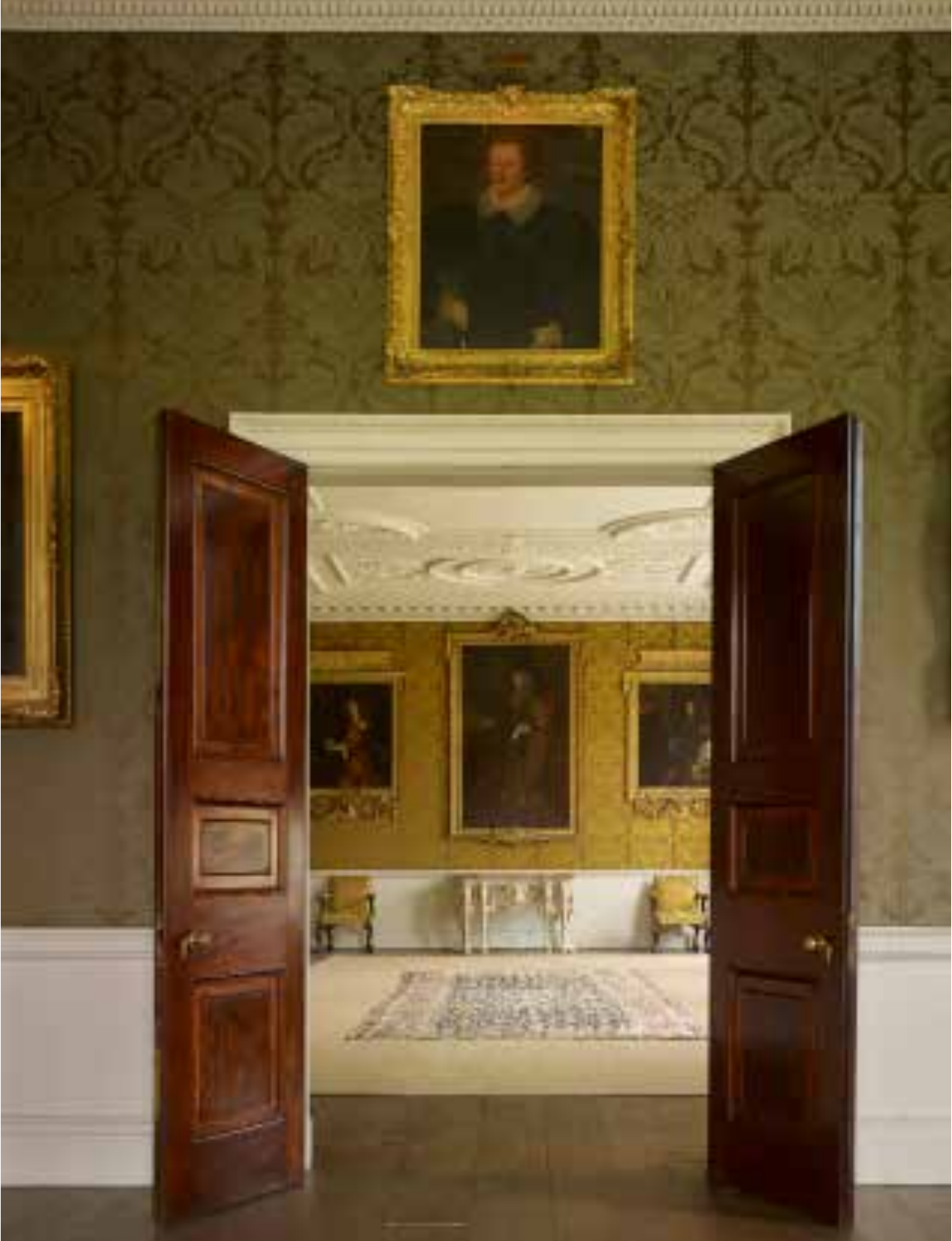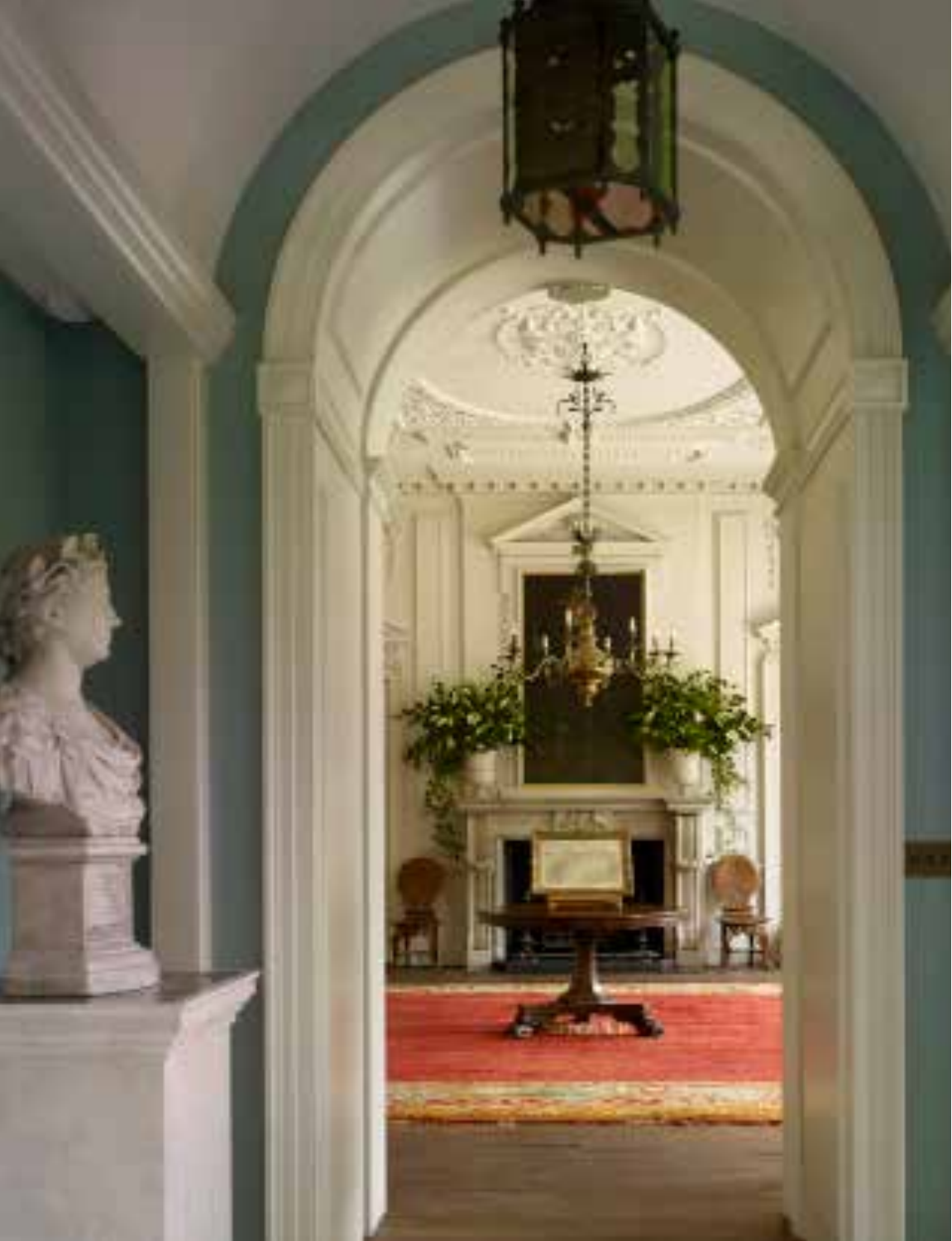